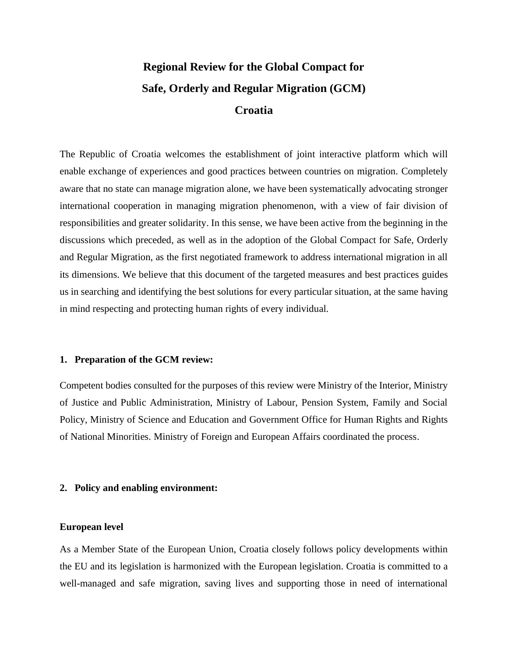# **Regional Review for the Global Compact for Safe, Orderly and Regular Migration (GCM) Croatia**

The Republic of Croatia welcomes the establishment of joint interactive platform which will enable exchange of experiences and good practices between countries on migration. Completely aware that no state can manage migration alone, we have been systematically advocating stronger international cooperation in managing migration phenomenon, with a view of fair division of responsibilities and greater solidarity. In this sense, we have been active from the beginning in the discussions which preceded, as well as in the adoption of the Global Compact for Safe, Orderly and Regular Migration, as the first negotiated framework to address international migration in all its dimensions. We believe that this document of the targeted measures and best practices guides us in searching and identifying the best solutions for every particular situation, at the same having in mind respecting and protecting human rights of every individual.

### **1. Preparation of the GCM review:**

Competent bodies consulted for the purposes of this review were Ministry of the Interior, Ministry of Justice and Public Administration, Ministry of Labour, Pension System, Family and Social Policy, Ministry of Science and Education and Government Office for Human Rights and Rights of National Minorities. Ministry of Foreign and European Affairs coordinated the process.

### **2. Policy and enabling environment:**

### **European level**

As a Member State of the European Union, Croatia closely follows policy developments within the EU and its legislation is harmonized with the European legislation. Croatia is committed to a well-managed and safe migration, saving lives and supporting those in need of international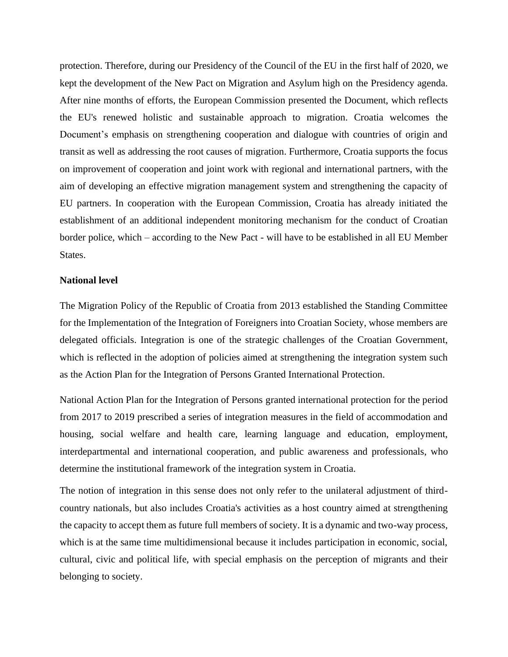protection. Therefore, during our Presidency of the Council of the EU in the first half of 2020, we kept the development of the New Pact on Migration and Asylum high on the Presidency agenda. After nine months of efforts, the European Commission presented the Document, which reflects the EU's renewed holistic and sustainable approach to migration. Croatia welcomes the Document's emphasis on strengthening cooperation and dialogue with countries of origin and transit as well as addressing the root causes of migration. Furthermore, Croatia supports the focus on improvement of cooperation and joint work with regional and international partners, with the aim of developing an effective migration management system and strengthening the capacity of EU partners. In cooperation with the European Commission, Croatia has already initiated the establishment of an additional independent monitoring mechanism for the conduct of Croatian border police, which – according to the New Pact - will have to be established in all EU Member States.

### **National level**

The Migration Policy of the Republic of Croatia from 2013 established the Standing Committee for the Implementation of the Integration of Foreigners into Croatian Society, whose members are delegated officials. Integration is one of the strategic challenges of the Croatian Government, which is reflected in the adoption of policies aimed at strengthening the integration system such as the Action Plan for the Integration of Persons Granted International Protection.

National Action Plan for the Integration of Persons granted international protection for the period from 2017 to 2019 prescribed a series of integration measures in the field of accommodation and housing, social welfare and health care, learning language and education, employment, interdepartmental and international cooperation, and public awareness and professionals, who determine the institutional framework of the integration system in Croatia.

The notion of integration in this sense does not only refer to the unilateral adjustment of thirdcountry nationals, but also includes Croatia's activities as a host country aimed at strengthening the capacity to accept them as future full members of society. It is a dynamic and two-way process, which is at the same time multidimensional because it includes participation in economic, social, cultural, civic and political life, with special emphasis on the perception of migrants and their belonging to society.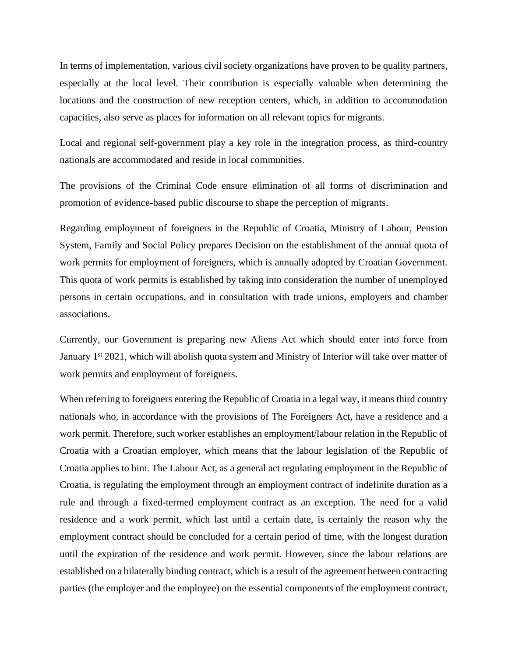In terms of implementation, various civil society organizations have proven to be quality partners, especially at the local level. Their contribution is especially valuable when determining the locations and the construction of new reception centers, which, in addition to accommodation capacities, also serve as places for information on all relevant topics for migrants.

Local and regional self-government play a key role in the integration process, as third-country nationals are accommodated and reside in local communities.

The provisions of the Criminal Code ensure elimination of all forms of discrimination and promotion of evidence-based public discourse to shape the perception of migrants.

Regarding employment of foreigners in the Republic of Croatia, Ministry of Labour, Pension System, Family and Social Policy prepares Decision on the establishment of the annual quota of work permits for employment of foreigners, which is annually adopted by Croatian Government. This quota of work permits is established by taking into consideration the number of unemployed persons in certain occupations, and in consultation with trade unions, employers and chamber associations.

Currently, our Government is preparing new Aliens Act which should enter into force from January  $1<sup>st</sup> 2021$ , which will abolish quota system and Ministry of Interior will take over matter of work permits and employment of foreigners.

When referring to foreigners entering the Republic of Croatia in a legal way, it means third country nationals who, in accordance with the provisions of The Foreigners Act, have a residence and a work permit. Therefore, such worker establishes an employment/labour relation in the Republic of Croatia with a Croatian employer, which means that the labour legislation of the Republic of Croatia applies to him. The Labour Act, as a general act regulating employment in the Republic of Croatia, is regulating the employment through an employment contract of indefinite duration as a rule and through a fixed-termed employment contract as an exception. The need for a valid residence and a work permit, which last until a certain date, is certainly the reason why the employment contract should be concluded for a certain period of time, with the longest duration until the expiration of the residence and work permit. However, since the labour relations are established on a bilaterally binding contract, which is a result of the agreement between contracting parties (the employer and the employee) on the essential components of the employment contract,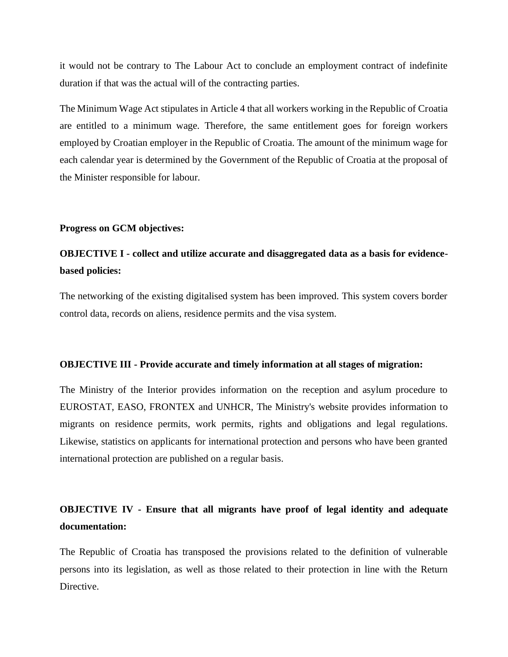it would not be contrary to The Labour Act to conclude an employment contract of indefinite duration if that was the actual will of the contracting parties.

The Minimum Wage Act stipulates in Article 4 that all workers working in the Republic of Croatia are entitled to a minimum wage. Therefore, the same entitlement goes for foreign workers employed by Croatian employer in the Republic of Croatia. The amount of the minimum wage for each calendar year is determined by the Government of the Republic of Croatia at the proposal of the Minister responsible for labour*.*

### **Progress on GCM objectives:**

### **OBJECTIVE I - collect and utilize accurate and disaggregated data as a basis for evidencebased policies:**

The networking of the existing digitalised system has been improved. This system covers border control data, records on aliens, residence permits and the visa system.

#### **OBJECTIVE III - Provide accurate and timely information at all stages of migration:**

The Ministry of the Interior provides information on the reception and asylum procedure to EUROSTAT, EASO, FRONTEX and UNHCR, The Ministry's website provides information to migrants on residence permits, work permits, rights and obligations and legal regulations. Likewise, statistics on applicants for international protection and persons who have been granted international protection are published on a regular basis.

# **OBJECTIVE IV - Ensure that all migrants have proof of legal identity and adequate documentation:**

The Republic of Croatia has transposed the provisions related to the definition of vulnerable persons into its legislation, as well as those related to their protection in line with the Return Directive.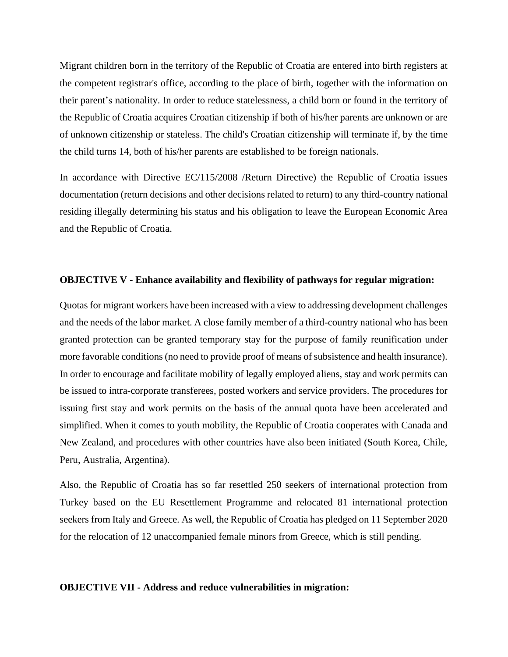Migrant children born in the territory of the Republic of Croatia are entered into birth registers at the competent registrar's office, according to the place of birth, together with the information on their parent's nationality. In order to reduce statelessness, a child born or found in the territory of the Republic of Croatia acquires Croatian citizenship if both of his/her parents are unknown or are of unknown citizenship or stateless. The child's Croatian citizenship will terminate if, by the time the child turns 14, both of his/her parents are established to be foreign nationals.

In accordance with Directive EC/115/2008 /Return Directive) the Republic of Croatia issues documentation (return decisions and other decisions related to return) to any third-country national residing illegally determining his status and his obligation to leave the European Economic Area and the Republic of Croatia.

#### **OBJECTIVE V - Enhance availability and flexibility of pathways for regular migration:**

Quotas for migrant workers have been increased with a view to addressing development challenges and the needs of the labor market. A close family member of a third-country national who has been granted protection can be granted temporary stay for the purpose of family reunification under more favorable conditions (no need to provide proof of means of subsistence and health insurance). In order to encourage and facilitate mobility of legally employed aliens, stay and work permits can be issued to intra-corporate transferees, posted workers and service providers. The procedures for issuing first stay and work permits on the basis of the annual quota have been accelerated and simplified. When it comes to youth mobility, the Republic of Croatia cooperates with Canada and New Zealand, and procedures with other countries have also been initiated (South Korea, Chile, Peru, Australia, Argentina).

Also, the Republic of Croatia has so far resettled 250 seekers of international protection from Turkey based on the EU Resettlement Programme and relocated 81 international protection seekers from Italy and Greece. As well, the Republic of Croatia has pledged on 11 September 2020 for the relocation of 12 unaccompanied female minors from Greece, which is still pending.

### **OBJECTIVE VII - Address and reduce vulnerabilities in migration:**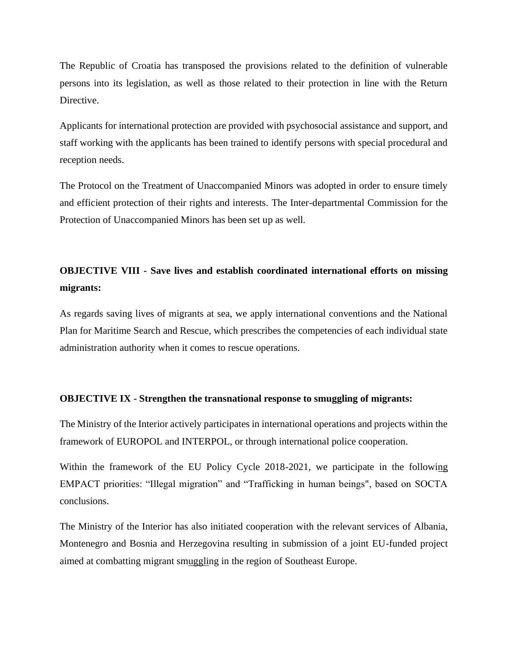The Republic of Croatia has transposed the provisions related to the definition of vulnerable persons into its legislation, as well as those related to their protection in line with the Return Directive.

Applicants for international protection are provided with psychosocial assistance and support, and staff working with the applicants has been trained to identify persons with special procedural and reception needs.

The Protocol on the Treatment of Unaccompanied Minors was adopted in order to ensure timely and efficient protection of their rights and interests. The Inter-departmental Commission for the Protection of Unaccompanied Minors has been set up as well.

# **OBJECTIVE VIII - Save lives and establish coordinated international efforts on missing migrants:**

As regards saving lives of migrants at sea, we apply international conventions and the National Plan for Maritime Search and Rescue, which prescribes the competencies of each individual state administration authority when it comes to rescue operations.

### **OBJECTIVE IX - Strengthen the transnational response to smuggling of migrants:**

The Ministry of the Interior actively participates in international operations and projects within the framework of EUROPOL and INTERPOL, or through international police cooperation.

Within the framework of the EU Policy Cycle 2018-2021, we participate in the following EMPACT priorities: "Illegal migration" and "Trafficking in human beings", based on SOCTA conclusions.

The Ministry of the Interior has also initiated cooperation with the relevant services of Albania, Montenegro and Bosnia and Herzegovina resulting in submission of a joint EU-funded project aimed at combatting migrant smuggling in the region of Southeast Europe.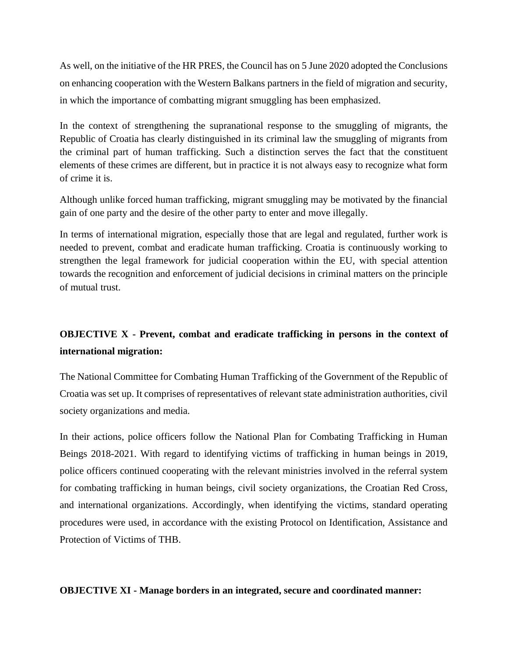As well, on the initiative of the HR PRES, the Council has on 5 June 2020 adopted the Conclusions on enhancing cooperation with the Western Balkans partners in the field of migration and security, in which the importance of combatting migrant smuggling has been emphasized.

In the context of strengthening the supranational response to the smuggling of migrants, the Republic of Croatia has clearly distinguished in its criminal law the smuggling of migrants from the criminal part of human trafficking. Such a distinction serves the fact that the constituent elements of these crimes are different, but in practice it is not always easy to recognize what form of crime it is.

Although unlike forced human trafficking, migrant smuggling may be motivated by the financial gain of one party and the desire of the other party to enter and move illegally.

In terms of international migration, especially those that are legal and regulated, further work is needed to prevent, combat and eradicate human trafficking. Croatia is continuously working to strengthen the legal framework for judicial cooperation within the EU, with special attention towards the recognition and enforcement of judicial decisions in criminal matters on the principle of mutual trust.

# **OBJECTIVE X - Prevent, combat and eradicate trafficking in persons in the context of international migration:**

The National Committee for Combating Human Trafficking of the Government of the Republic of Croatia was set up. It comprises of representatives of relevant state administration authorities, civil society organizations and media.

In their actions, police officers follow the National Plan for Combating Trafficking in Human Beings 2018-2021. With regard to identifying victims of trafficking in human beings in 2019, police officers continued cooperating with the relevant ministries involved in the referral system for combating trafficking in human beings, civil society organizations, the Croatian Red Cross, and international organizations. Accordingly, when identifying the victims, standard operating procedures were used, in accordance with the existing Protocol on Identification, Assistance and Protection of Victims of THB.

### **OBJECTIVE XI - Manage borders in an integrated, secure and coordinated manner:**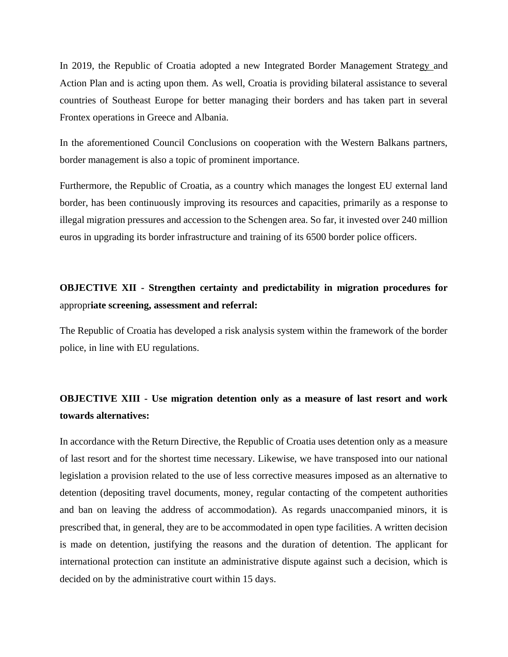In 2019, the Republic of Croatia adopted a new Integrated Border Management Strategy and Action Plan and is acting upon them. As well, Croatia is providing bilateral assistance to several countries of Southeast Europe for better managing their borders and has taken part in several Frontex operations in Greece and Albania.

In the aforementioned Council Conclusions on cooperation with the Western Balkans partners, border management is also a topic of prominent importance.

Furthermore, the Republic of Croatia, as a country which manages the longest EU external land border, has been continuously improving its resources and capacities, primarily as a response to illegal migration pressures and accession to the Schengen area. So far, it invested over 240 million euros in upgrading its border infrastructure and training of its 6500 border police officers.

# **OBJECTIVE XII - Strengthen certainty and predictability in migration procedures for**  appropr**iate screening, assessment and referral:**

The Republic of Croatia has developed a risk analysis system within the framework of the border police, in line with EU regulations.

# **OBJECTIVE XIII - Use migration detention only as a measure of last resort and work towards alternatives:**

In accordance with the Return Directive, the Republic of Croatia uses detention only as a measure of last resort and for the shortest time necessary. Likewise, we have transposed into our national legislation a provision related to the use of less corrective measures imposed as an alternative to detention (depositing travel documents, money, regular contacting of the competent authorities and ban on leaving the address of accommodation). As regards unaccompanied minors, it is prescribed that, in general, they are to be accommodated in open type facilities. A written decision is made on detention, justifying the reasons and the duration of detention. The applicant for international protection can institute an administrative dispute against such a decision, which is decided on by the administrative court within 15 days.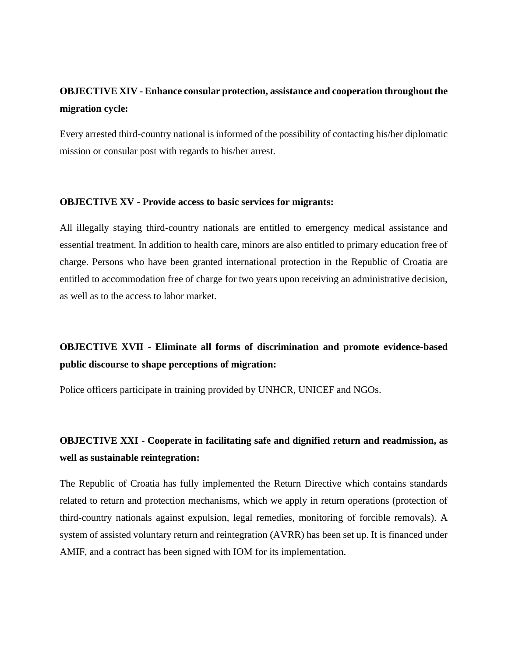# **OBJECTIVE XIV - Enhance consular protection, assistance and cooperation throughout the migration cycle:**

Every arrested third-country national is informed of the possibility of contacting his/her diplomatic mission or consular post with regards to his/her arrest.

### **OBJECTIVE XV - Provide access to basic services for migrants:**

All illegally staying third-country nationals are entitled to emergency medical assistance and essential treatment. In addition to health care, minors are also entitled to primary education free of charge. Persons who have been granted international protection in the Republic of Croatia are entitled to accommodation free of charge for two years upon receiving an administrative decision, as well as to the access to labor market.

# **OBJECTIVE XVII - Eliminate all forms of discrimination and promote evidence-based public discourse to shape perceptions of migration:**

Police officers participate in training provided by UNHCR, UNICEF and NGOs.

# **OBJECTIVE XXI - Cooperate in facilitating safe and dignified return and readmission, as well as sustainable reintegration:**

The Republic of Croatia has fully implemented the Return Directive which contains standards related to return and protection mechanisms, which we apply in return operations (protection of third-country nationals against expulsion, legal remedies, monitoring of forcible removals). A system of assisted voluntary return and reintegration (AVRR) has been set up. It is financed under AMIF, and a contract has been signed with IOM for its implementation.